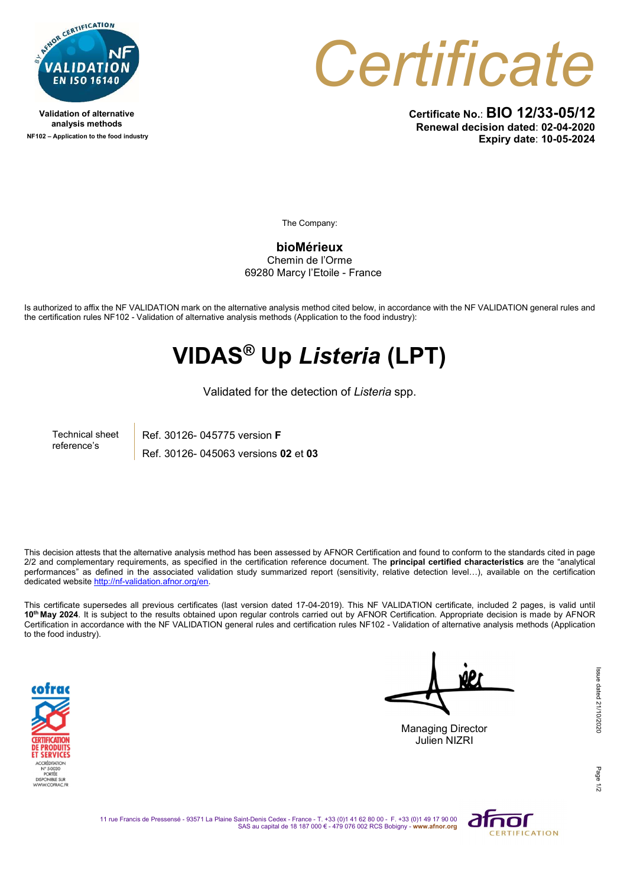

Validation of alternative analysis methods NF102 – Application to the food industry **Certificate** 

Certificate No.: BIO 12/33-05/12 Renewal decision dated: 02-04-2020 Expiry date: 10-05-2024

The Company:

bioMérieux Chemin de l'Orme 69280 Marcy l'Etoile - France

Is authorized to affix the NF VALIDATION mark on the alternative analysis method cited below, in accordance with the NF VALIDATION general rules and the certification rules NF102 - Validation of alternative analysis methods (Application to the food industry):

## VIDAS® Up Listeria (LPT)

Validated for the detection of Listeria spp.

Technical sheet reference's

Ref. 30126- 045775 version F Ref. 30126- 045063 versions 02 et 03

This decision attests that the alternative analysis method has been assessed by AFNOR Certification and found to conform to the standards cited in page  $2/2$  and complementary requirements, as specified in the certification reference document. The **principal certified characteristics** are the "analytical performances" as defined in the associated validation study summarized report (sensitivity, relative detection level…), available on the certification dedicated website http://nf-validation.afnor.org/en.

This certificate supersedes all previous certificates (last version dated 17-04-2019). This NF VALIDATION certificate, included 2 pages, is valid until 10<sup>th</sup> May 2024. It is subject to the results obtained upon regular controls carried out by AFNOR Certification. Appropriate decision is made by AFNOR Certification in accordance with the NF VALIDATION general rules and certification rules NF102 - Validation of alternative analysis methods (Application to the food industry).



Managing Director

Julien NIZRI

Page 1/2